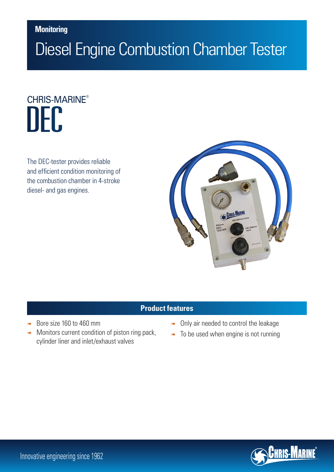## **Monitoring**

# Diesel Engine Combustion Chamber Tester

# IFC. CHRIS-MARINE®

The DEC-tester provides reliable and efficient condition monitoring of the combustion chamber in 4-stroke diesel- and gas engines.



### **Product features**

- Bore size 160 to 460 mm
- Monitors current condition of piston ring pack, cylinder liner and inlet/exhaust valves
- **Only air needed to control the leakage**
- **To be used when engine is not running**